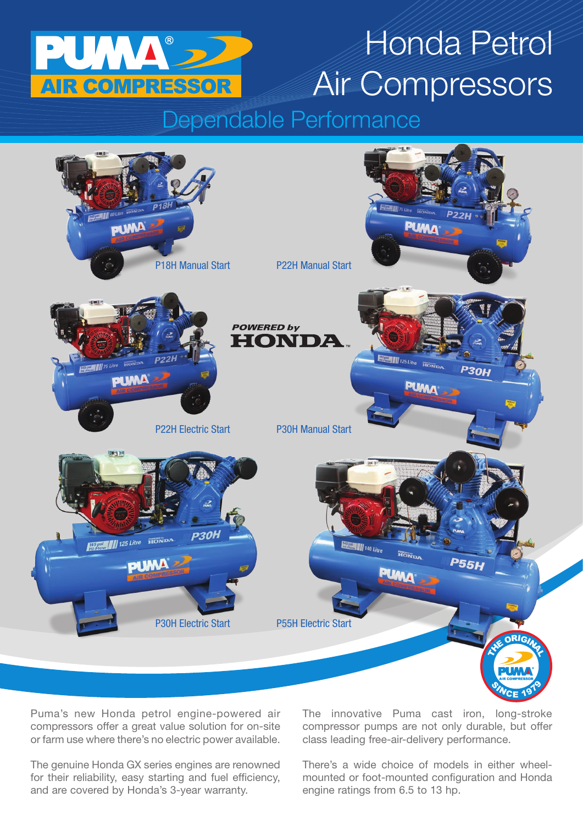

## Honda Petrol Air Compressors

## Dependable Performance



Puma's new Honda petrol engine-powered air compressors offer a great value solution for on-site or farm use where there's no electric power available.

The genuine Honda GX series engines are renowned for their reliability, easy starting and fuel efficiency, and are covered by Honda's 3-year warranty.

The innovative Puma cast iron, long-stroke compressor pumps are not only durable, but offer class leading free-air-delivery performance.

There's a wide choice of models in either wheelmounted or foot-mounted configuration and Honda engine ratings from 6.5 to 13 hp.